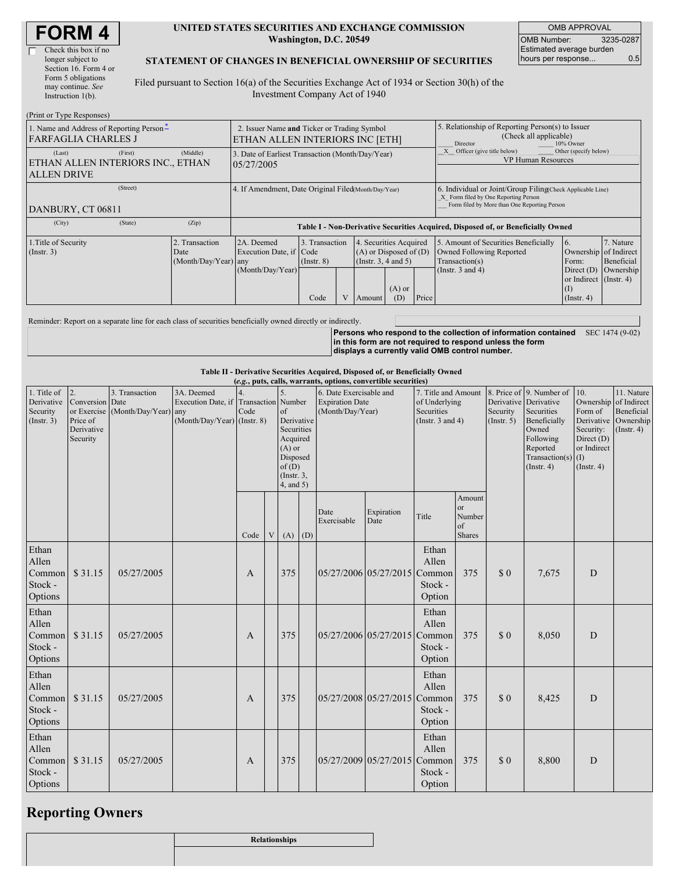| <b>FORM 4</b> |
|---------------|
|---------------|

 $(D_{\text{min}})$  on  $T_{\text{sum}}$   $D$ 

#### **UNITED STATES SECURITIES AND EXCHANGE COMMISSION Washington, D.C. 20549**

OMB APPROVAL OMB Number: 3235-0287 Estimated average burden hours per response... 0.5

### **STATEMENT OF CHANGES IN BENEFICIAL OWNERSHIP OF SECURITIES**

Filed pursuant to Section 16(a) of the Securities Exchange Act of 1934 or Section 30(h) of the Investment Company Act of 1940

| (FILIII OL TYPE INESPOIISES)                                                          |                                                                                |                                                                                  |                                   |  |                                                                                   |                                                                                                     |                                                                                                                                                    |                                                                                    |                                                         |                         |
|---------------------------------------------------------------------------------------|--------------------------------------------------------------------------------|----------------------------------------------------------------------------------|-----------------------------------|--|-----------------------------------------------------------------------------------|-----------------------------------------------------------------------------------------------------|----------------------------------------------------------------------------------------------------------------------------------------------------|------------------------------------------------------------------------------------|---------------------------------------------------------|-------------------------|
| 1. Name and Address of Reporting Person-<br><b>FARFAGLIA CHARLES J</b>                | 2. Issuer Name and Ticker or Trading Symbol<br>ETHAN ALLEN INTERIORS INC [ETH] |                                                                                  |                                   |  |                                                                                   | 5. Relationship of Reporting Person(s) to Issuer<br>(Check all applicable)<br>Director<br>10% Owner |                                                                                                                                                    |                                                                                    |                                                         |                         |
| (Last)<br>(First)<br>ETHAN ALLEN INTERIORS INC., ETHAN<br><b>ALLEN DRIVE</b>          | (Middle)                                                                       | 3. Date of Earliest Transaction (Month/Day/Year)<br>05/27/2005                   |                                   |  |                                                                                   | Other (specify below)<br>Officer (give title below)<br><b>VP Human Resources</b>                    |                                                                                                                                                    |                                                                                    |                                                         |                         |
| (Street)<br>DANBURY, CT 06811                                                         |                                                                                | 4. If Amendment, Date Original Filed Month/Day/Year)                             |                                   |  |                                                                                   |                                                                                                     | 6. Individual or Joint/Group Filing Check Applicable Line)<br>X Form filed by One Reporting Person<br>Form filed by More than One Reporting Person |                                                                                    |                                                         |                         |
| (City)<br>(State)                                                                     | (Zip)                                                                          | Table I - Non-Derivative Securities Acquired, Disposed of, or Beneficially Owned |                                   |  |                                                                                   |                                                                                                     |                                                                                                                                                    |                                                                                    |                                                         |                         |
| 1. Title of Security<br>2. Transaction<br>(Insert. 3)<br>Date<br>(Month/Day/Year) any |                                                                                | 2A. Deemed<br>Execution Date, if Code                                            | 3. Transaction<br>$($ Instr. $8)$ |  | 4. Securities Acquired<br>$(A)$ or Disposed of $(D)$<br>$($ Instr. 3, 4 and 5 $)$ |                                                                                                     |                                                                                                                                                    | 5. Amount of Securities Beneficially<br>Owned Following Reported<br>Transaction(s) | 16.<br>Ownership of Indirect<br>Form:                   | 7. Nature<br>Beneficial |
|                                                                                       |                                                                                | (Month/Day/Year)                                                                 | Code                              |  | Amount                                                                            | $(A)$ or<br>(D)                                                                                     | Price                                                                                                                                              | (Instr. $3$ and $4$ )                                                              | Direct $(D)$<br>or Indirect (Instr. 4)<br>$($ Instr. 4) | Ownership               |

Reminder: Report on a separate line for each class of securities beneficially owned directly or indirectly.

**Persons who respond to the collection of information contained in this form are not required to respond unless the form displays a currently valid OMB control number.** SEC 1474 (9-02)

#### **Table II - Derivative Securities Acquired, Disposed of, or Beneficially Owned**

| (e.g., puts, calls, warrants, options, convertible securities) |                                                             |                                                    |                                                                                    |      |                         |                                                                                                                    |     |                                                                       |                       |                                                                             |                                                      |                         |                                                                                                                                                         |                                                                                             |                                                                                     |
|----------------------------------------------------------------|-------------------------------------------------------------|----------------------------------------------------|------------------------------------------------------------------------------------|------|-------------------------|--------------------------------------------------------------------------------------------------------------------|-----|-----------------------------------------------------------------------|-----------------------|-----------------------------------------------------------------------------|------------------------------------------------------|-------------------------|---------------------------------------------------------------------------------------------------------------------------------------------------------|---------------------------------------------------------------------------------------------|-------------------------------------------------------------------------------------|
| 1. Title of<br>Derivative<br>Security<br>(Insert. 3)           | 2.<br>Conversion Date<br>Price of<br>Derivative<br>Security | 3. Transaction<br>or Exercise (Month/Day/Year) any | 3A. Deemed<br>Execution Date, if Transaction Number<br>(Month/Day/Year) (Instr. 8) | Code |                         | of<br>Derivative<br>Securities<br>Acquired<br>$(A)$ or<br>Disposed<br>of(D)<br>$($ Instr. $3$ ,<br>$4$ , and $5$ ) |     | 6. Date Exercisable and<br><b>Expiration Date</b><br>(Month/Day/Year) |                       | 7. Title and Amount<br>of Underlying<br>Securities<br>(Instr. $3$ and $4$ ) |                                                      | Security<br>(Insert. 5) | 8. Price of 9. Number of<br>Derivative Derivative<br>Securities<br>Beneficially<br>Owned<br>Following<br>Reported<br>Transaction(s)<br>$($ Instr. 4 $)$ | 10.<br>Ownership<br>Form of<br>Security:<br>Direct (D)<br>or Indirect<br>(I)<br>(Insert. 4) | 11. Nature<br>of Indirect<br>Beneficial<br>Derivative Ownership<br>$($ Instr. 4 $)$ |
|                                                                |                                                             |                                                    |                                                                                    | Code | $\ensuremath{\text{V}}$ | (A)                                                                                                                | (D) | Date<br>Exercisable                                                   | Expiration<br>Date    | Title                                                                       | Amount<br><b>or</b><br>Number<br>of<br><b>Shares</b> |                         |                                                                                                                                                         |                                                                                             |                                                                                     |
| Ethan<br>Allen<br>Common<br>Stock -<br>Options                 | \$31.15                                                     | 05/27/2005                                         |                                                                                    | A    |                         | 375                                                                                                                |     | 05/27/2006 05/27/2015                                                 |                       | Ethan<br>Allen<br>Common<br>Stock -<br>Option                               | 375                                                  | $\Omega$                | 7,675                                                                                                                                                   | $\mathbf D$                                                                                 |                                                                                     |
| Ethan<br>Allen<br>Common<br>Stock -<br>Options                 | \$31.15                                                     | 05/27/2005                                         |                                                                                    | A    |                         | 375                                                                                                                |     |                                                                       | 05/27/2006 05/27/2015 | Ethan<br>Allen<br>Common<br>Stock -<br>Option                               | 375                                                  | \$0                     | 8,050                                                                                                                                                   | D                                                                                           |                                                                                     |
| Ethan<br>Allen<br>Common<br>Stock -<br>Options                 | \$31.15                                                     | 05/27/2005                                         |                                                                                    | A    |                         | 375                                                                                                                |     | 05/27/2008 05/27/2015                                                 |                       | Ethan<br>Allen<br>Common<br>Stock -<br>Option                               | 375                                                  | $\Omega$                | 8,425                                                                                                                                                   | D                                                                                           |                                                                                     |
| Ethan<br>Allen<br>Common<br>Stock -<br>Options                 | \$31.15                                                     | 05/27/2005                                         |                                                                                    | A    |                         | 375                                                                                                                |     |                                                                       | 05/27/2009 05/27/2015 | Ethan<br>Allen<br>Common<br>Stock -<br>Option                               | 375                                                  | $\Omega$                | 8,800                                                                                                                                                   | D                                                                                           |                                                                                     |

### **Reporting Owners**

| <b>Relationships</b> |
|----------------------|
|                      |